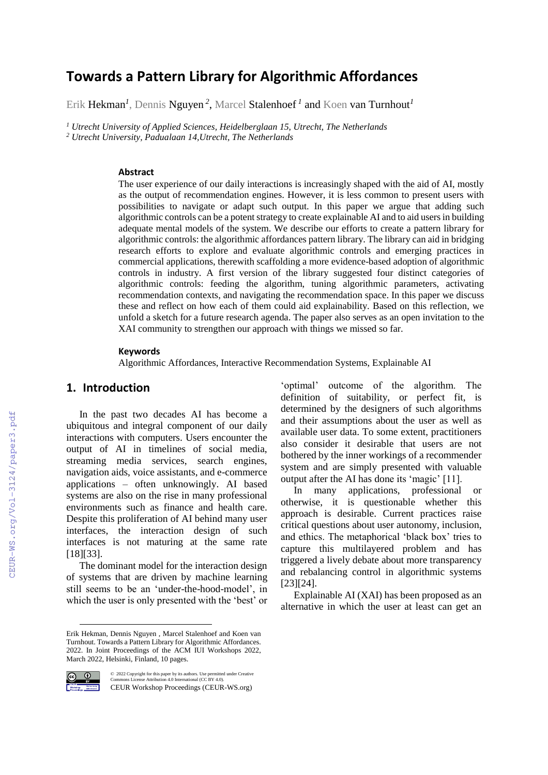# **Towards a Pattern Library for Algorithmic Affordances**

Erik Hekman*<sup>1</sup>* , Dennis Nguyen *<sup>2</sup>* , Marcel Stalenhoef *<sup>1</sup>* and Koen van Turnhout*<sup>1</sup>*

*<sup>1</sup> Utrecht University of Applied Sciences, Heidelberglaan 15, Utrecht, The Netherlands <sup>2</sup> Utrecht University, Padualaan 14,Utrecht, The Netherlands*

#### **Abstract**

The user experience of our daily interactions is increasingly shaped with the aid of AI, mostly as the output of recommendation engines. However, it is less common to present users with possibilities to navigate or adapt such output. In this paper we argue that adding such algorithmic controls can be a potent strategy to create explainable AI and to aid users in building adequate mental models of the system. We describe our efforts to create a pattern library for algorithmic controls: the algorithmic affordances pattern library. The library can aid in bridging research efforts to explore and evaluate algorithmic controls and emerging practices in commercial applications, therewith scaffolding a more evidence-based adoption of algorithmic controls in industry. A first version of the library suggested four distinct categories of algorithmic controls: feeding the algorithm, tuning algorithmic parameters, activating recommendation contexts, and navigating the recommendation space. In this paper we discuss these and reflect on how each of them could aid explainability. Based on this reflection, we unfold a sketch for a future research agenda. The paper also serves as an open invitation to the XAI community to strengthen our approach with things we missed so far.

#### **Keywords 1**

Algorithmic Affordances, Interactive Recommendation Systems, Explainable AI

#### **1. Introduction**

In the past two decades AI has become a ubiquitous and integral component of our daily interactions with computers. Users encounter the output of AI in timelines of social media, streaming media services, search engines, navigation aids, voice assistants, and e-commerce applications – often unknowingly. AI based systems are also on the rise in many professional environments such as finance and health care. Despite this proliferation of AI behind many user interfaces, the interaction design of such interfaces is not maturing at the same rate [18][33].

The dominant model for the interaction design of systems that are driven by machine learning still seems to be an 'under-the-hood-model', in which the user is only presented with the 'best' or

Erik Hekman, Dennis Nguyen , Marcel Stalenhoef and Koen van Turnhout. Towards a Pattern Library for Algorithmic Affordances. 2022. In Joint Proceedings of the ACM IUI Workshops 2022, March 2022, Helsinki, Finland, 10 pages.



©️ 2022 Copyright for this paper by its authors. Use permitted under Creative Commons License Attribution 4.0 International (CC BY 4.0). CEUR Workshop Proceedings (CEUR-WS.org)

'optimal' outcome of the algorithm. The definition of suitability, or perfect fit, is determined by the designers of such algorithms and their assumptions about the user as well as available user data. To some extent, practitioners also consider it desirable that users are not bothered by the inner workings of a recommender system and are simply presented with valuable output after the AI has done its 'magic' [11].

In many applications, professional or otherwise, it is questionable whether this approach is desirable. Current practices raise critical questions about user autonomy, inclusion, and ethics. The metaphorical 'black box' tries to capture this multilayered problem and has triggered a lively debate about more transparency and rebalancing control in algorithmic systems [23][24].

Explainable AI (XAI) has been proposed as an alternative in which the user at least can get an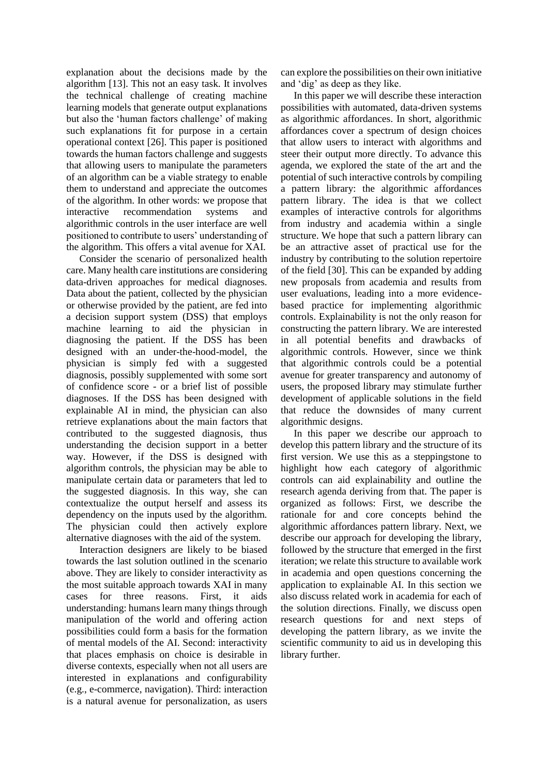explanation about the decisions made by the algorithm [13]. This not an easy task. It involves the technical challenge of creating machine learning models that generate output explanations but also the 'human factors challenge' of making such explanations fit for purpose in a certain operational context [26]. This paper is positioned towards the human factors challenge and suggests that allowing users to manipulate the parameters of an algorithm can be a viable strategy to enable them to understand and appreciate the outcomes of the algorithm. In other words: we propose that interactive recommendation systems and algorithmic controls in the user interface are well positioned to contribute to users' understanding of the algorithm. This offers a vital avenue for XAI.

Consider the scenario of personalized health care. Many health care institutions are considering data-driven approaches for medical diagnoses. Data about the patient, collected by the physician or otherwise provided by the patient, are fed into a decision support system (DSS) that employs machine learning to aid the physician in diagnosing the patient. If the DSS has been designed with an under-the-hood-model, the physician is simply fed with a suggested diagnosis, possibly supplemented with some sort of confidence score - or a brief list of possible diagnoses. If the DSS has been designed with explainable AI in mind, the physician can also retrieve explanations about the main factors that contributed to the suggested diagnosis, thus understanding the decision support in a better way. However, if the DSS is designed with algorithm controls, the physician may be able to manipulate certain data or parameters that led to the suggested diagnosis. In this way, she can contextualize the output herself and assess its dependency on the inputs used by the algorithm. The physician could then actively explore alternative diagnoses with the aid of the system.

Interaction designers are likely to be biased towards the last solution outlined in the scenario above. They are likely to consider interactivity as the most suitable approach towards XAI in many cases for three reasons. First, it aids understanding: humans learn many things through manipulation of the world and offering action possibilities could form a basis for the formation of mental models of the AI. Second: interactivity that places emphasis on choice is desirable in diverse contexts, especially when not all users are interested in explanations and configurability (e.g., e-commerce, navigation). Third: interaction is a natural avenue for personalization, as users

can explore the possibilities on their own initiative and 'dig' as deep as they like.

In this paper we will describe these interaction possibilities with automated, data-driven systems as algorithmic affordances. In short, algorithmic affordances cover a spectrum of design choices that allow users to interact with algorithms and steer their output more directly. To advance this agenda, we explored the state of the art and the potential of such interactive controls by compiling a pattern library: the algorithmic affordances pattern library. The idea is that we collect examples of interactive controls for algorithms from industry and academia within a single structure. We hope that such a pattern library can be an attractive asset of practical use for the industry by contributing to the solution repertoire of the field [30]. This can be expanded by adding new proposals from academia and results from user evaluations, leading into a more evidencebased practice for implementing algorithmic controls. Explainability is not the only reason for constructing the pattern library. We are interested in all potential benefits and drawbacks of algorithmic controls. However, since we think that algorithmic controls could be a potential avenue for greater transparency and autonomy of users, the proposed library may stimulate further development of applicable solutions in the field that reduce the downsides of many current algorithmic designs.

In this paper we describe our approach to develop this pattern library and the structure of its first version. We use this as a steppingstone to highlight how each category of algorithmic controls can aid explainability and outline the research agenda deriving from that. The paper is organized as follows: First, we describe the rationale for and core concepts behind the algorithmic affordances pattern library. Next, we describe our approach for developing the library, followed by the structure that emerged in the first iteration; we relate this structure to available work in academia and open questions concerning the application to explainable AI. In this section we also discuss related work in academia for each of the solution directions. Finally, we discuss open research questions for and next steps of developing the pattern library, as we invite the scientific community to aid us in developing this library further.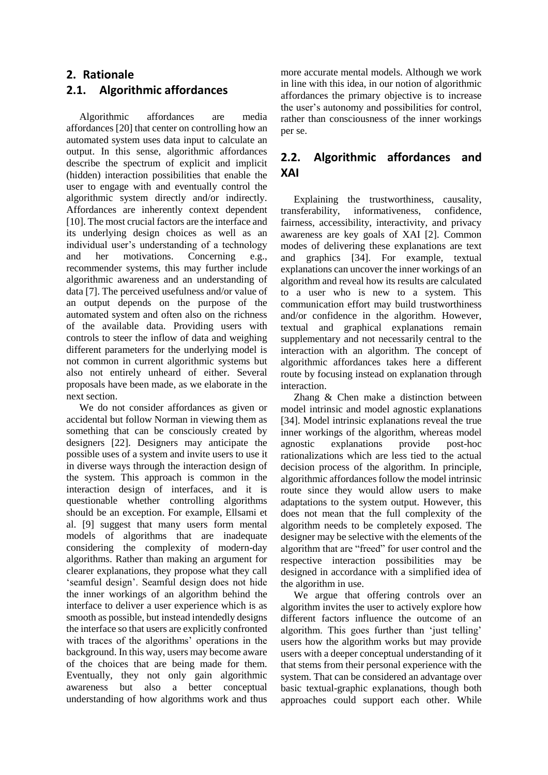## **2. Rationale**

### **2.1. Algorithmic affordances**

Algorithmic affordances are media affordances [20] that center on controlling how an automated system uses data input to calculate an output. In this sense, algorithmic affordances describe the spectrum of explicit and implicit (hidden) interaction possibilities that enable the user to engage with and eventually control the algorithmic system directly and/or indirectly. Affordances are inherently context dependent [10]. The most crucial factors are the interface and its underlying design choices as well as an individual user's understanding of a technology and her motivations. Concerning e.g., recommender systems, this may further include algorithmic awareness and an understanding of data [7]. The perceived usefulness and/or value of an output depends on the purpose of the automated system and often also on the richness of the available data. Providing users with controls to steer the inflow of data and weighing different parameters for the underlying model is not common in current algorithmic systems but also not entirely unheard of either. Several proposals have been made, as we elaborate in the next section.

We do not consider affordances as given or accidental but follow Norman in viewing them as something that can be consciously created by designers [22]. Designers may anticipate the possible uses of a system and invite users to use it in diverse ways through the interaction design of the system. This approach is common in the interaction design of interfaces, and it is questionable whether controlling algorithms should be an exception. For example, Ellsami et al. [9] suggest that many users form mental models of algorithms that are inadequate considering the complexity of modern-day algorithms. Rather than making an argument for clearer explanations, they propose what they call 'seamful design'. Seamful design does not hide the inner workings of an algorithm behind the interface to deliver a user experience which is as smooth as possible, but instead intendedly designs the interface so that users are explicitly confronted with traces of the algorithms' operations in the background. In this way, users may become aware of the choices that are being made for them. Eventually, they not only gain algorithmic awareness but also a better conceptual understanding of how algorithms work and thus

more accurate mental models. Although we work in line with this idea, in our notion of algorithmic affordances the primary objective is to increase the user's autonomy and possibilities for control, rather than consciousness of the inner workings per se.

# **2.2. Algorithmic affordances and XAI**

Explaining the trustworthiness, causality, transferability, informativeness, confidence, fairness, accessibility, interactivity, and privacy awareness are key goals of XAI [2]. Common modes of delivering these explanations are text and graphics [34]. For example, textual explanations can uncover the inner workings of an algorithm and reveal how its results are calculated to a user who is new to a system. This communication effort may build trustworthiness and/or confidence in the algorithm. However, textual and graphical explanations remain supplementary and not necessarily central to the interaction with an algorithm. The concept of algorithmic affordances takes here a different route by focusing instead on explanation through interaction.

Zhang & Chen make a distinction between model intrinsic and model agnostic explanations [34]. Model intrinsic explanations reveal the true inner workings of the algorithm, whereas model agnostic explanations provide post-hoc rationalizations which are less tied to the actual decision process of the algorithm. In principle, algorithmic affordances follow the model intrinsic route since they would allow users to make adaptations to the system output. However, this does not mean that the full complexity of the algorithm needs to be completely exposed. The designer may be selective with the elements of the algorithm that are "freed" for user control and the respective interaction possibilities may be designed in accordance with a simplified idea of the algorithm in use.

We argue that offering controls over an algorithm invites the user to actively explore how different factors influence the outcome of an algorithm. This goes further than 'just telling' users how the algorithm works but may provide users with a deeper conceptual understanding of it that stems from their personal experience with the system. That can be considered an advantage over basic textual-graphic explanations, though both approaches could support each other. While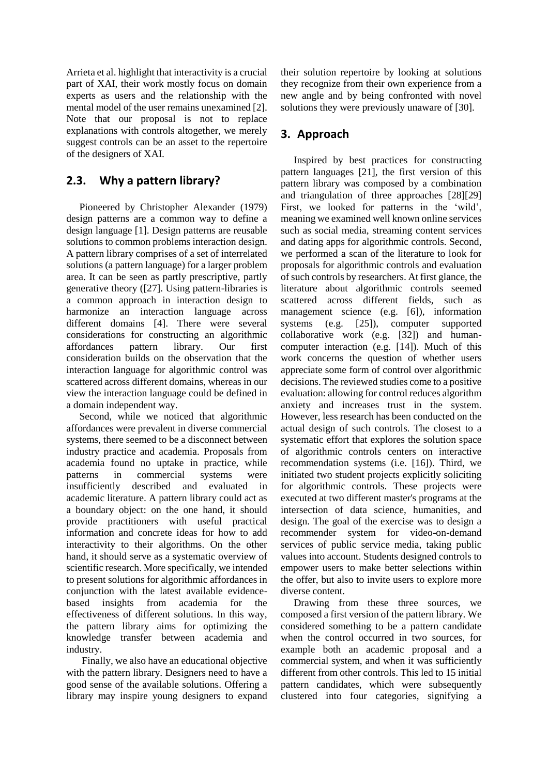Arrieta et al. highlight that interactivity is a crucial part of XAI, their work mostly focus on domain experts as users and the relationship with the mental model of the user remains unexamined [2]. Note that our proposal is not to replace explanations with controls altogether, we merely suggest controls can be an asset to the repertoire of the designers of XAI.

# **2.3. Why a pattern library?**

Pioneered by Christopher Alexander (1979) design patterns are a common way to define a design language [1]. Design patterns are reusable solutions to common problems interaction design. A pattern library comprises of a set of interrelated solutions (a pattern language) for a larger problem area. It can be seen as partly prescriptive, partly generative theory ([27]. Using pattern-libraries is a common approach in interaction design to harmonize an interaction language across different domains [4]. There were several considerations for constructing an algorithmic affordances pattern library. Our first consideration builds on the observation that the interaction language for algorithmic control was scattered across different domains, whereas in our view the interaction language could be defined in a domain independent way.

Second, while we noticed that algorithmic affordances were prevalent in diverse commercial systems, there seemed to be a disconnect between industry practice and academia. Proposals from academia found no uptake in practice, while patterns in commercial systems were insufficiently described and evaluated in academic literature. A pattern library could act as a boundary object: on the one hand, it should provide practitioners with useful practical information and concrete ideas for how to add interactivity to their algorithms. On the other hand, it should serve as a systematic overview of scientific research. More specifically, we intended to present solutions for algorithmic affordances in conjunction with the latest available evidencebased insights from academia for the effectiveness of different solutions. In this way, the pattern library aims for optimizing the knowledge transfer between academia and industry.

Finally, we also have an educational objective with the pattern library. Designers need to have a good sense of the available solutions. Offering a library may inspire young designers to expand their solution repertoire by looking at solutions they recognize from their own experience from a new angle and by being confronted with novel solutions they were previously unaware of [30].

# **3. Approach**

Inspired by best practices for constructing pattern languages [21], the first version of this pattern library was composed by a combination and triangulation of three approaches [28][29] First, we looked for patterns in the 'wild', meaning we examined well known online services such as social media, streaming content services and dating apps for algorithmic controls. Second, we performed a scan of the literature to look for proposals for algorithmic controls and evaluation of such controls by researchers. At first glance, the literature about algorithmic controls seemed scattered across different fields, such as management science (e.g. [6]), information systems (e.g. [25]), computer supported collaborative work (e.g. [32]) and humancomputer interaction (e.g. [14]). Much of this work concerns the question of whether users appreciate some form of control over algorithmic decisions. The reviewed studies come to a positive evaluation: allowing for control reduces algorithm anxiety and increases trust in the system. However, less research has been conducted on the actual design of such controls. The closest to a systematic effort that explores the solution space of algorithmic controls centers on interactive recommendation systems (i.e. [16]). Third, we initiated two student projects explicitly soliciting for algorithmic controls. These projects were executed at two different master's programs at the intersection of data science, humanities, and design. The goal of the exercise was to design a recommender system for video-on-demand services of public service media, taking public values into account. Students designed controls to empower users to make better selections within the offer, but also to invite users to explore more diverse content.

Drawing from these three sources, we composed a first version of the pattern library. We considered something to be a pattern candidate when the control occurred in two sources, for example both an academic proposal and a commercial system, and when it was sufficiently different from other controls. This led to 15 initial pattern candidates, which were subsequently clustered into four categories, signifying a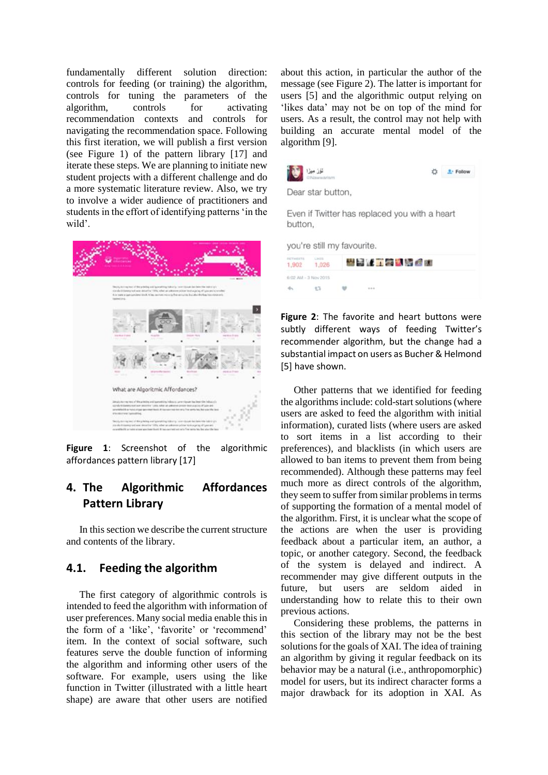fundamentally different solution direction: controls for feeding (or training) the algorithm, controls for tuning the parameters of the algorithm, controls for activating algorithm, controls for activating recommendation contexts and controls for navigating the recommendation space. Following this first iteration, we will publish a first version (see Figure 1) of the pattern library [17] and iterate these steps. We are planning to initiate new student projects with a different challenge and do a more systematic literature review. Also, we try to involve a wider audience of practitioners and students in the effort of identifying patterns 'in the wild'.



**Figure 1**: Screenshot of the algorithmic affordances pattern library [17]

# **4. The Algorithmic Affordances Pattern Library**

In this section we describe the current structure and contents of the library.

### **4.1. Feeding the algorithm**

The first category of algorithmic controls is intended to feed the algorithm with information of user preferences. Many social media enable this in the form of a 'like', 'favorite' or 'recommend' item. In the context of social software, such features serve the double function of informing the algorithm and informing other users of the software. For example, users using the like function in Twitter (illustrated with a little heart shape) are aware that other users are notified

about this action, in particular the author of the message (see Figure 2). The latter is important for users [5] and the algorithmic output relying on 'likes data' may not be on top of the mind for users. As a result, the control may not help with building an accurate mental model of the algorithm [9].



**Figure 2**: The favorite and heart buttons were subtly different ways of feeding Twitter's recommender algorithm, but the change had a substantial impact on users as Bucher & Helmond [5] have shown.

Other patterns that we identified for feeding the algorithms include: cold-start solutions (where users are asked to feed the algorithm with initial information), curated lists (where users are asked to sort items in a list according to their preferences), and blacklists (in which users are allowed to ban items to prevent them from being recommended). Although these patterns may feel much more as direct controls of the algorithm, they seem to suffer from similar problems in terms of supporting the formation of a mental model of the algorithm. First, it is unclear what the scope of the actions are when the user is providing feedback about a particular item, an author, a topic, or another category. Second, the feedback of the system is delayed and indirect. A recommender may give different outputs in the future, but users are seldom aided in understanding how to relate this to their own previous actions.

Considering these problems, the patterns in this section of the library may not be the best solutions for the goals of XAI. The idea of training an algorithm by giving it regular feedback on its behavior may be a natural (i.e., anthropomorphic) model for users, but its indirect character forms a major drawback for its adoption in XAI. As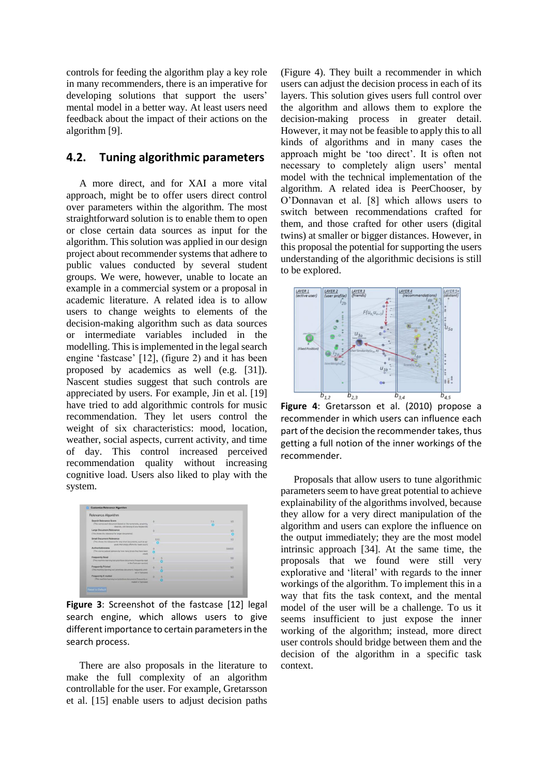controls for feeding the algorithm play a key role in many recommenders, there is an imperative for developing solutions that support the users' mental model in a better way. At least users need feedback about the impact of their actions on the algorithm [9].

#### **4.2. Tuning algorithmic parameters**

A more direct, and for XAI a more vital approach, might be to offer users direct control over parameters within the algorithm. The most straightforward solution is to enable them to open or close certain data sources as input for the algorithm. This solution was applied in our design project about recommender systems that adhere to public values conducted by several student groups. We were, however, unable to locate an example in a commercial system or a proposal in academic literature. A related idea is to allow users to change weights to elements of the decision-making algorithm such as data sources or intermediate variables included in the modelling. This is implemented in the legal search engine 'fastcase' [12], (figure 2) and it has been proposed by academics as well (e.g. [31]). Nascent studies suggest that such controls are appreciated by users. For example, Jin et al. [19] have tried to add algorithmic controls for music recommendation. They let users control the weight of six characteristics: mood, location, weather, social aspects, current activity, and time of day. This control increased perceived recommendation quality without increasing cognitive load. Users also liked to play with the system.

| Relevance Algorithm                                                                                                                      |                           |            |
|------------------------------------------------------------------------------------------------------------------------------------------|---------------------------|------------|
| Search Relevance Score<br>(This scores each document based on the numerosity, proximity)<br>diversity, and density of your keywords)     | $\circ$                   | 7.5<br>10  |
| <b>Large Document Relevance</b><br>(This shows the nelexance for larger documents)                                                       | $\Omega$                  | 10         |
| Small Document Relevance<br>(This shows the inimusnos for very short documents, such as ap-<br>peak that singly affirm the lower court). | 0.51                      | 10         |
| Authoritativeness<br>(This scores judicial opinions by how many times they have been<br>cast)                                            | ö<br>ö                    | 50000      |
| <b>Frequently Read</b><br>(This machine learning tool provitizes documents frequently read)<br>as the Fastcase service).                 | $\circ$                   | 50         |
| <b>Frequently Printed</b><br>(This machine knowing tool promitizes documents histographicates)<br>ed in Fashcase)                        | $\alpha$                  | $60 - 100$ |
| <b>Frequently E-mailed</b><br>(This machine loancery tool promitives documents frequently a-<br>maked in Favorand)                       | $\circ$<br>$\overline{a}$ | 50         |

**Figure 3**: Screenshot of the fastcase [12] legal search engine, which allows users to give different importance to certain parameters in the search process.

There are also proposals in the literature to make the full complexity of an algorithm controllable for the user. For example, Gretarsson et al. [15] enable users to adjust decision paths

(Figure 4). They built a recommender in which users can adjust the decision process in each of its layers. This solution gives users full control over the algorithm and allows them to explore the decision-making process in greater detail. However, it may not be feasible to apply this to all kinds of algorithms and in many cases the approach might be 'too direct'. It is often not necessary to completely align users' mental model with the technical implementation of the algorithm. A related idea is PeerChooser, by O'Donnavan et al. [8] which allows users to switch between recommendations crafted for them, and those crafted for other users (digital twins) at smaller or bigger distances. However, in this proposal the potential for supporting the users understanding of the algorithmic decisions is still to be explored.



**Figure 4**: Gretarsson et al. (2010) propose a recommender in which users can influence each part of the decision the recommender takes, thus getting a full notion of the inner workings of the recommender.

Proposals that allow users to tune algorithmic parameters seem to have great potential to achieve explainability of the algorithms involved, because they allow for a very direct manipulation of the algorithm and users can explore the influence on the output immediately; they are the most model intrinsic approach [34]. At the same time, the proposals that we found were still very explorative and 'literal' with regards to the inner workings of the algorithm. To implement this in a way that fits the task context, and the mental model of the user will be a challenge. To us it seems insufficient to just expose the inner working of the algorithm; instead, more direct user controls should bridge between them and the decision of the algorithm in a specific task context.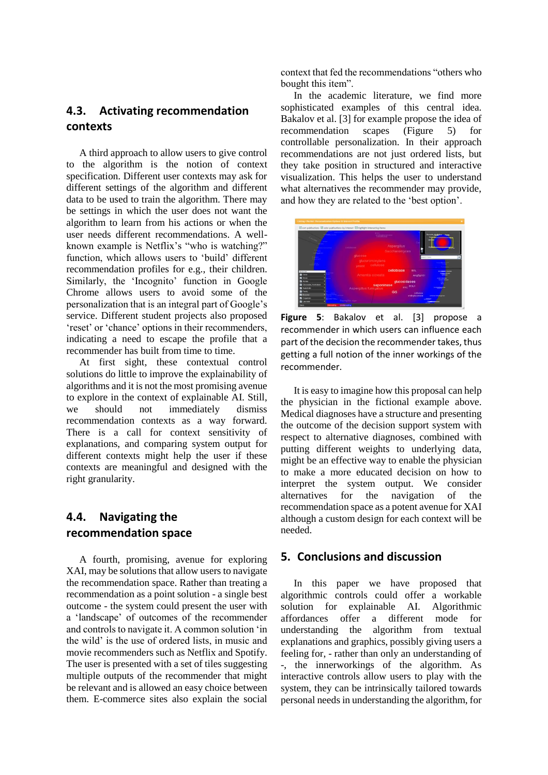# **4.3. Activating recommendation contexts**

A third approach to allow users to give control to the algorithm is the notion of context specification. Different user contexts may ask for different settings of the algorithm and different data to be used to train the algorithm. There may be settings in which the user does not want the algorithm to learn from his actions or when the user needs different recommendations. A wellknown example is Netflix's "who is watching?" function, which allows users to 'build' different recommendation profiles for e.g., their children. Similarly, the 'Incognito' function in Google Chrome allows users to avoid some of the personalization that is an integral part of Google's service. Different student projects also proposed 'reset' or 'chance' options in their recommenders, indicating a need to escape the profile that a recommender has built from time to time.

At first sight, these contextual control solutions do little to improve the explainability of algorithms and it is not the most promising avenue to explore in the context of explainable AI. Still, we should not immediately dismiss recommendation contexts as a way forward. There is a call for context sensitivity of explanations, and comparing system output for different contexts might help the user if these contexts are meaningful and designed with the right granularity.

# **4.4. Navigating the recommendation space**

A fourth, promising, avenue for exploring XAI, may be solutions that allow users to navigate the recommendation space. Rather than treating a recommendation as a point solution - a single best outcome - the system could present the user with a 'landscape' of outcomes of the recommender and controls to navigate it. A common solution 'in the wild' is the use of ordered lists, in music and movie recommenders such as Netflix and Spotify. The user is presented with a set of tiles suggesting multiple outputs of the recommender that might be relevant and is allowed an easy choice between them. E-commerce sites also explain the social

context that fed the recommendations "others who bought this item".

In the academic literature, we find more sophisticated examples of this central idea. Bakalov et al. [3] for example propose the idea of recommendation scapes (Figure 5) for controllable personalization. In their approach recommendations are not just ordered lists, but they take position in structured and interactive visualization. This helps the user to understand what alternatives the recommender may provide, and how they are related to the 'best option'.



**Figure 5**: Bakalov et al. [3] propose a recommender in which users can influence each part of the decision the recommender takes, thus getting a full notion of the inner workings of the recommender.

It is easy to imagine how this proposal can help the physician in the fictional example above. Medical diagnoses have a structure and presenting the outcome of the decision support system with respect to alternative diagnoses, combined with putting different weights to underlying data, might be an effective way to enable the physician to make a more educated decision on how to interpret the system output. We consider alternatives for the navigation of the recommendation space as a potent avenue for XAI although a custom design for each context will be needed.

### **5. Conclusions and discussion**

In this paper we have proposed that algorithmic controls could offer a workable solution for explainable AI. Algorithmic affordances offer a different mode for understanding the algorithm from textual explanations and graphics, possibly giving users a feeling for, - rather than only an understanding of -, the innerworkings of the algorithm. As interactive controls allow users to play with the system, they can be intrinsically tailored towards personal needs in understanding the algorithm, for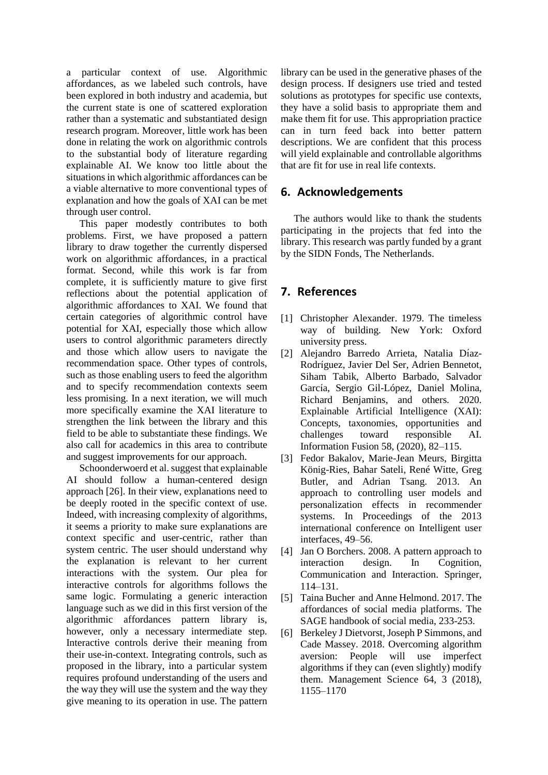a particular context of use. Algorithmic affordances, as we labeled such controls, have been explored in both industry and academia, but the current state is one of scattered exploration rather than a systematic and substantiated design research program. Moreover, little work has been done in relating the work on algorithmic controls to the substantial body of literature regarding explainable AI. We know too little about the situations in which algorithmic affordances can be a viable alternative to more conventional types of explanation and how the goals of XAI can be met through user control.

This paper modestly contributes to both problems. First, we have proposed a pattern library to draw together the currently dispersed work on algorithmic affordances, in a practical format. Second, while this work is far from complete, it is sufficiently mature to give first reflections about the potential application of algorithmic affordances to XAI. We found that certain categories of algorithmic control have potential for XAI, especially those which allow users to control algorithmic parameters directly and those which allow users to navigate the recommendation space. Other types of controls, such as those enabling users to feed the algorithm and to specify recommendation contexts seem less promising. In a next iteration, we will much more specifically examine the XAI literature to strengthen the link between the library and this field to be able to substantiate these findings. We also call for academics in this area to contribute and suggest improvements for our approach.

Schoonderwoerd et al. suggest that explainable AI should follow a human-centered design approach [26]. In their view, explanations need to be deeply rooted in the specific context of use. Indeed, with increasing complexity of algorithms, it seems a priority to make sure explanations are context specific and user-centric, rather than system centric. The user should understand why the explanation is relevant to her current interactions with the system. Our plea for interactive controls for algorithms follows the same logic. Formulating a generic interaction language such as we did in this first version of the algorithmic affordances pattern library is, however, only a necessary intermediate step. Interactive controls derive their meaning from their use-in-context. Integrating controls, such as proposed in the library, into a particular system requires profound understanding of the users and the way they will use the system and the way they give meaning to its operation in use. The pattern

library can be used in the generative phases of the design process. If designers use tried and tested solutions as prototypes for specific use contexts, they have a solid basis to appropriate them and make them fit for use. This appropriation practice can in turn feed back into better pattern descriptions. We are confident that this process will yield explainable and controllable algorithms that are fit for use in real life contexts.

### **6. Acknowledgements**

The authors would like to thank the students participating in the projects that fed into the library. This research was partly funded by a grant by the SIDN Fonds, The Netherlands.

### **7. References**

- [1] Christopher Alexander. 1979. The timeless way of building. New York: Oxford university press.
- [2] Alejandro Barredo Arrieta, Natalia Díaz-Rodrı́guez, Javier Del Ser, Adrien Bennetot, Siham Tabik, Alberto Barbado, Salvador García, Sergio Gil-López, Daniel Molina, Richard Benjamins, and others. 2020. Explainable Artificial Intelligence (XAI): Concepts, taxonomies, opportunities and challenges toward responsible AI. Information Fusion 58, (2020), 82–115.
- [3] Fedor Bakalov, Marie-Jean Meurs, Birgitta König-Ries, Bahar Sateli, René Witte, Greg Butler, and Adrian Tsang. 2013. An approach to controlling user models and personalization effects in recommender systems. In Proceedings of the 2013 international conference on Intelligent user interfaces, 49–56.
- [4] Jan O Borchers. 2008. A pattern approach to interaction design. In Cognition, Communication and Interaction. Springer, 114–131.
- [5] Taina Bucher and Anne Helmond. 2017. The affordances of social media platforms. The SAGE handbook of social media, 233-253.
- [6] Berkeley J Dietvorst, Joseph P Simmons, and Cade Massey. 2018. Overcoming algorithm aversion: People will use imperfect algorithms if they can (even slightly) modify them. Management Science 64, 3 (2018), 1155–1170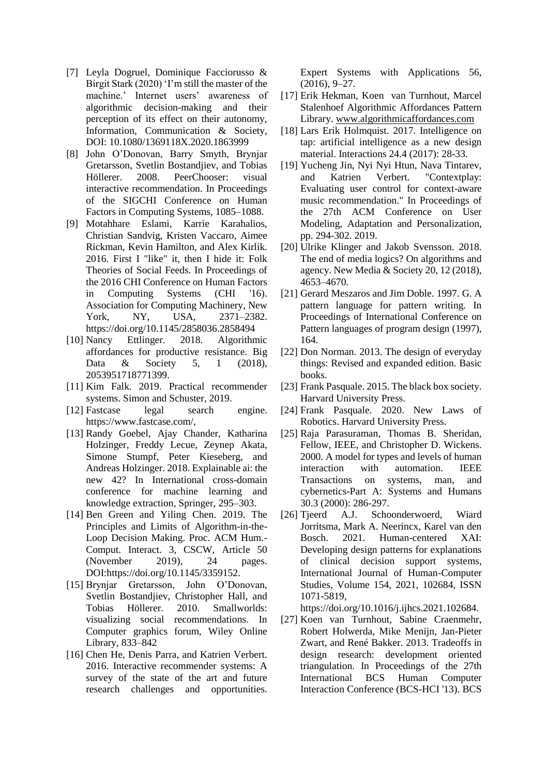- [7] Leyla Dogruel, Dominique Facciorusso & Birgit Stark (2020) 'I'm still the master of the machine.' Internet users' awareness of algorithmic decision-making and their perception of its effect on their autonomy, Information, Communication & Society, DOI: 10.1080/1369118X.2020.1863999
- [8] John O'Donovan, Barry Smyth, Brynjar Gretarsson, Svetlin Bostandjiev, and Tobias Höllerer. 2008. PeerChooser: visual interactive recommendation. In Proceedings of the SIGCHI Conference on Human Factors in Computing Systems, 1085–1088.
- [9] Motahhare Eslami, Karrie Karahalios, Christian Sandvig, Kristen Vaccaro, Aimee Rickman, Kevin Hamilton, and Alex Kirlik. 2016. First I "like" it, then I hide it: Folk Theories of Social Feeds. In Proceedings of the 2016 CHI Conference on Human Factors in Computing Systems (CHI '16). Association for Computing Machinery, New York, NY, USA, 2371–2382. https://doi.org/10.1145/2858036.2858494
- [10] Nancy Ettlinger. 2018. Algorithmic affordances for productive resistance. Big Data & Society 5, 1 (2018), 2053951718771399.
- [11] Kim Falk. 2019. Practical recommender systems. Simon and Schuster, 2019.
- [12] Fastcase legal search engine. https://www.fastcase.com/,
- [13] Randy Goebel, Ajay Chander, Katharina Holzinger, Freddy Lecue, Zeynep Akata, Simone Stumpf, Peter Kieseberg, and Andreas Holzinger. 2018. Explainable ai: the new 42? In International cross-domain conference for machine learning and knowledge extraction, Springer, 295–303.
- [14] Ben Green and Yiling Chen. 2019. The Principles and Limits of Algorithm-in-the-Loop Decision Making. Proc. ACM Hum.- Comput. Interact. 3, CSCW, Article 50 (November 2019), 24 pages. DOI:https://doi.org/10.1145/3359152.
- [15] Brynjar Gretarsson, John O'Donovan, Svetlin Bostandjiev, Christopher Hall, and Tobias Höllerer. 2010. Smallworlds: visualizing social recommendations. In Computer graphics forum, Wiley Online Library, 833–842
- [16] Chen He, Denis Parra, and Katrien Verbert. 2016. Interactive recommender systems: A survey of the state of the art and future research challenges and opportunities.

Expert Systems with Applications 56, (2016), 9–27.

- [17] Erik Hekman, Koen van Turnhout, Marcel Stalenhoef Algorithmic Affordances Pattern Library. [www.algorithmicaffordances.com](http://www.algorithmicaffordances.com/)
- [18] Lars Erik Holmquist. 2017. Intelligence on tap: artificial intelligence as a new design material. Interactions 24.4 (2017): 28-33.
- [19] Yucheng Jin, Nyi Nyi Htun, Nava Tintarev, and Katrien Verbert. "Contextplay: Evaluating user control for context-aware music recommendation." In Proceedings of the 27th ACM Conference on User Modeling, Adaptation and Personalization, pp. 294-302. 2019.
- [20] Ulrike Klinger and Jakob Svensson. 2018. The end of media logics? On algorithms and agency. New Media & Society 20, 12 (2018), 4653–4670.
- [21] Gerard Meszaros and Jim Doble. 1997. G. A pattern language for pattern writing. In Proceedings of International Conference on Pattern languages of program design (1997), 164.
- [22] Don Norman. 2013. The design of everyday things: Revised and expanded edition. Basic books.
- [23] Frank Pasquale. 2015. The black box society. Harvard University Press.
- [24] Frank Pasquale. 2020. New Laws of Robotics. Harvard University Press.
- [25] Raja Parasuraman, Thomas B. Sheridan, Fellow, IEEE, and Christopher D. Wickens. 2000. A model for types and levels of human interaction with automation. IEEE Transactions on systems, man, and cybernetics-Part A: Systems and Humans 30.3 (2000): 286-297.
- [26] Tjeerd A.J. Schoonderwoerd, Wiard Jorritsma, Mark A. Neerincx, Karel van den Bosch. 2021. Human-centered XAI: Developing design patterns for explanations of clinical decision support systems, International Journal of Human-Computer Studies, Volume 154, 2021, 102684, ISSN 1071-5819,

https://doi.org/10.1016/j.ijhcs.2021.102684.

[27] Koen van Turnhout, Sabine Craenmehr, Robert Holwerda, Mike Menijn, Jan-Pieter Zwart, and René Bakker. 2013. Tradeoffs in design research: development oriented triangulation. In Proceedings of the 27th International BCS Human Computer Interaction Conference (BCS-HCI '13). BCS